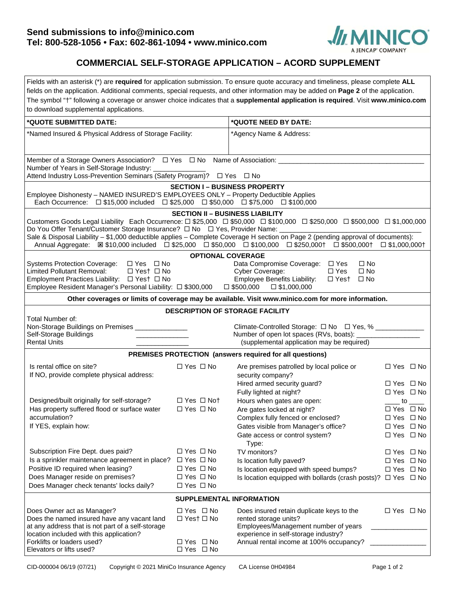

## **COMMERCIAL SELF-STORAGE APPLICATION – ACORD SUPPLEMENT**

| Fields with an asterisk (*) are required for application submission. To ensure quote accuracy and timeliness, please complete ALL<br>fields on the application. Additional comments, special requests, and other information may be added on Page 2 of the application.<br>The symbol "†" following a coverage or answer choice indicates that a supplemental application is required. Visit www.minico.com<br>to download supplemental applications.                                                             |                                                                                                                      |                                                                                                                                                                                                                                                                                                     |                                                                                                                                                                                                                              |  |  |  |  |  |
|-------------------------------------------------------------------------------------------------------------------------------------------------------------------------------------------------------------------------------------------------------------------------------------------------------------------------------------------------------------------------------------------------------------------------------------------------------------------------------------------------------------------|----------------------------------------------------------------------------------------------------------------------|-----------------------------------------------------------------------------------------------------------------------------------------------------------------------------------------------------------------------------------------------------------------------------------------------------|------------------------------------------------------------------------------------------------------------------------------------------------------------------------------------------------------------------------------|--|--|--|--|--|
| *QUOTE SUBMITTED DATE:                                                                                                                                                                                                                                                                                                                                                                                                                                                                                            |                                                                                                                      | *QUOTE NEED BY DATE:                                                                                                                                                                                                                                                                                |                                                                                                                                                                                                                              |  |  |  |  |  |
| *Named Insured & Physical Address of Storage Facility:                                                                                                                                                                                                                                                                                                                                                                                                                                                            |                                                                                                                      | *Agency Name & Address:                                                                                                                                                                                                                                                                             |                                                                                                                                                                                                                              |  |  |  |  |  |
| Member of a Storage Owners Association? $\Box$ Yes $\Box$ No Name of Association: ______________________<br>Number of Years in Self-Storage Industry:<br>Attend Industry Loss-Prevention Seminars (Safety Program)? □ Yes □ No                                                                                                                                                                                                                                                                                    |                                                                                                                      |                                                                                                                                                                                                                                                                                                     |                                                                                                                                                                                                                              |  |  |  |  |  |
| <b>SECTION I - BUSINESS PROPERTY</b><br>Employee Dishonesty - NAMED INSURED'S EMPLOYEES ONLY - Property Deductible Applies<br>Each Occurrence: □ \$15,000 included □ \$25,000 □ \$50,000 □ \$75,000 □ \$100,000                                                                                                                                                                                                                                                                                                   |                                                                                                                      |                                                                                                                                                                                                                                                                                                     |                                                                                                                                                                                                                              |  |  |  |  |  |
| <b>SECTION II - BUSINESS LIABILITY</b><br>Customers Goods Legal Liability Each Occurrence: □ \$25,000 □ \$50,000 □ \$100,000 □ \$250,000 □ \$500,000 □ \$1,000,000<br>Do You Offer Tenant/Customer Storage Insurance? $\Box$ No $\Box$ Yes, Provider Name:<br>Sale & Disposal Liability – \$1,000 deductible applies – Complete Coverage H section on Page 2 (pending approval of documents):<br>Annual Aggregate: 図 \$10,000 included ロ \$25,000 ロ \$50,000 ロ \$100,000 ロ \$250,000† ロ \$500,000† ロ \$1,000,000† |                                                                                                                      |                                                                                                                                                                                                                                                                                                     |                                                                                                                                                                                                                              |  |  |  |  |  |
| <b>Systems Protection Coverage:</b><br>□ Yes □ No<br><b>Limited Pollutant Removal:</b><br>$\Box$ Yest $\Box$ No<br>Employment Practices Liability: □ Yes† □ No<br>Employee Resident Manager's Personal Liability: □ \$300,000 □ \$500,000 □ \$1,000,000                                                                                                                                                                                                                                                           | <b>OPTIONAL COVERAGE</b>                                                                                             | Data Compromise Coverage: □ Yes<br>$\square$ No<br>$\Box$ Yes<br>Cyber Coverage:<br>$\square$ No<br><b>Employee Benefits Liability:</b><br>$\Box$ Yest $\Box$ No                                                                                                                                    |                                                                                                                                                                                                                              |  |  |  |  |  |
|                                                                                                                                                                                                                                                                                                                                                                                                                                                                                                                   |                                                                                                                      | Other coverages or limits of coverage may be available. Visit www.minico.com for more information.                                                                                                                                                                                                  |                                                                                                                                                                                                                              |  |  |  |  |  |
| <b>DESCRIPTION OF STORAGE FACILITY</b><br>Total Number of:<br>Non-Storage Buildings on Premises ____________<br>Climate-Controlled Storage: □ No □ Yes, % _________<br>Self-Storage Buildings<br>Number of open lot spaces (RVs, boats): _____________<br><b>Rental Units</b><br>(supplemental application may be required)<br>PREMISES PROTECTION (answers required for all questions)                                                                                                                           |                                                                                                                      |                                                                                                                                                                                                                                                                                                     |                                                                                                                                                                                                                              |  |  |  |  |  |
| Is rental office on site?<br>If NO, provide complete physical address:<br>Designed/built originally for self-storage?<br>Has property suffered flood or surface water<br>accumulation?<br>If YES, explain how:                                                                                                                                                                                                                                                                                                    | $\Box$ Yes $\Box$ No<br>$\Box$ Yes $\Box$ Not<br>□ Yes □ No                                                          | Are premises patrolled by local police or<br>security company?<br>Hired armed security guard?<br>Fully lighted at night?<br>Hours when gates are open:<br>Are gates locked at night?<br>Complex fully fenced or enclosed?<br>Gates visible from Manager's office?<br>Gate access or control system? | $\Box$ Yes $\Box$ No<br>$\Box$ Yes $\Box$ No<br>$\Box$ Yes $\Box$ No<br>$\overline{\phantom{a}}$ to $\overline{\phantom{a}}$<br>$\Box$ Yes $\Box$ No<br>$\Box$ Yes $\Box$ No<br>$\Box$ Yes $\Box$ No<br>$\Box$ Yes $\Box$ No |  |  |  |  |  |
| Subscription Fire Dept. dues paid?<br>Is a sprinkler maintenance agreement in place?<br>Positive ID required when leasing?<br>Does Manager reside on premises?<br>Does Manager check tenants' locks daily?                                                                                                                                                                                                                                                                                                        | $\Box$ Yes $\Box$ No<br>$\Box$ Yes $\Box$ No<br>$\Box$ Yes $\Box$ No<br>$\Box$ Yes $\Box$ No<br>$\Box$ Yes $\Box$ No | Type:<br>TV monitors?<br>Is location fully paved?<br>Is location equipped with speed bumps?<br>Is location equipped with bollards (crash posts)? $\Box$ Yes $\Box$ No                                                                                                                               | $\Box$ Yes $\Box$ No<br>$\Box$ Yes $\Box$ No<br>$\Box$ Yes $\Box$ No                                                                                                                                                         |  |  |  |  |  |
| SUPPLEMENTAL INFORMATION                                                                                                                                                                                                                                                                                                                                                                                                                                                                                          |                                                                                                                      |                                                                                                                                                                                                                                                                                                     |                                                                                                                                                                                                                              |  |  |  |  |  |
| Does Owner act as Manager?<br>Does the named insured have any vacant land<br>at any address that is not part of a self-storage<br>location included with this application?<br>Forklifts or loaders used?<br>Elevators or lifts used?                                                                                                                                                                                                                                                                              | □ Yes □ No<br>$\Box$ Yes† $\Box$ No<br>$\Box$ Yes $\Box$ No<br>□ Yes □ No                                            | Does insured retain duplicate keys to the<br>rented storage units?<br>Employees/Management number of years<br>experience in self-storage industry?<br>Annual rental income at 100% occupancy?                                                                                                       | $\Box$ Yes $\Box$ No                                                                                                                                                                                                         |  |  |  |  |  |